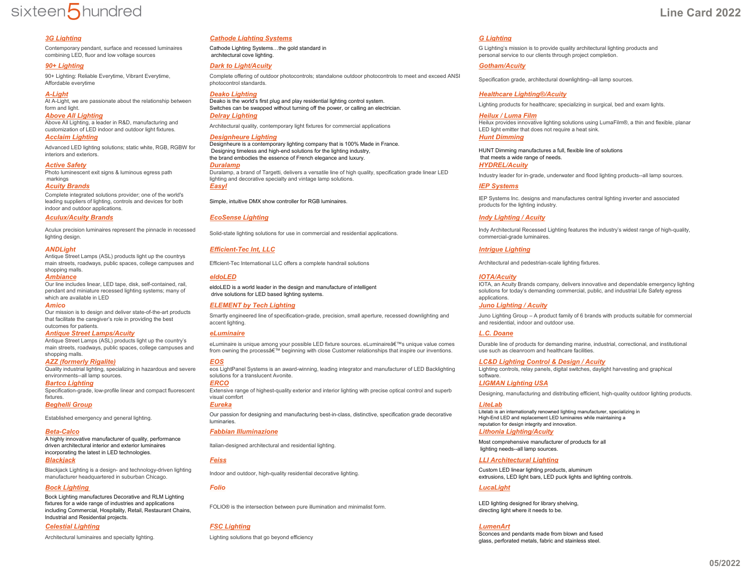# sixteen5hundred

Contemporary pendant, surface and recessed luminaires combining LED, fluor and low voltage sources

90+ Lighting: Reliable Everytime, Vibrant Everytime, Affordable everytime

At A-Light, we are passionate about the relationship between

form and light.<br>**Above All Lighting** Above All Lighting, a leader in R&D, manufacturing and

Advanced LED lighting solutions; static white, RGB, RGBW for interiors and exteriors.

Photo luminescent exit signs & luminous egress path markings

Complete integrated solutions provider; one of the world's leading suppliers of lighting, controls and devices for both

### indoor and outdoor applications. *Aculux/Acuity Brands EcoSense Lighting Indy Lighting / Acuity*

Aculux precision luminaires represent the pinnacle in recessed

Antique Street Lamps (ASL) products light up the countrys main streets, roadways, public spaces, college campuses and shopping malls.<br>**Ambiance** 

Our line includes linear, LED tape, disk, self-contained, rail, pendant and miniature recessed lighting systems; many of which are available in LED

Our mission is to design and deliver state-of-the-art products that facilitate the caregiver's role in providing the best outcomes for patients.

### *Antique Street Lamps/Acuity eLuminaire L.C. Doane*

Antique Street Lamps (ASL) products light up the country's main streets, roadways, public spaces, college campuses and shopping malls.

Quality industrial lighting, specializing in hazardous and severe environments--all lamp sources.

*Bartco Lighting ERCO LIGMAN Lighting USA* Specification-grade, low-profile linear and compact fluorescent fixtures.

A highly innovative manufacturer of quality, performance driven architectural interior and exterior luminaires incorporating the latest in LED technologies.

Blackjack Lighting is a design- and technology-driven lighting

### *Bock Lighting Folio LucaLight*

Bock Lighting manufactures Decorative and RLM Lighting fixtures for a wide range of industries and applications including Commercial, Hospitality, Retail, Restaurant Chains, Industrial and Residential projects.

### *Celestial Lighting FSC Lighting LumenArt*

### *3G Lighting Cathode Lighting Systems G Lighting*

Cathode Lighting Systems…the gold standard in architectural cove lighting.

### *90+ Lighting Dark to Light/Acuity Gotham/Acuity*

Complete offering of outdoor photocontrols; standalone outdoor photocontrols to meet and exceed ANSI

*A-Light Deako Lighting Healthcare Lighting®/Acuity* Deako is the world's first plug and play residential lighting control system. Deako is the world's first plug and play residential lighting control system.<br>Switches can be swapped without turning off the power, or calling an electrician. Lighting products for healthcare; specializing in surgical, be *Above All Lighting Delray Lighting Heilux / Luma Film*

*Acclaim Lighting Designheure Lighting Hunt Dimming* Designheure is a contemporary lighting company that is 100% Made in France. Designing timeless and high-end solutions for the lighting industry, the brand embodies the essence of French elegance and luxury.

*Active Safety Duralamp HYDREL/Acuity* Duralamp, a brand of Targetti, delivers a versatile line of high quality, specification grade linear LED lighting and decorative specialty and vintage lamp solutions. Industry leader for in-grade, underwater and flood lighting products--all lamp sources. *Acuity Brands Easyl IEP Systems*

### *ANDLight Efficient-Tec Int, LLC Intrigue Lighting*

Efficient-Tec International LLC offers a complete handrail solutions **Architectural and pedestrian-scale lighting fixtures**.

eldoLED is a world leader in the design and manufacture of intelligent drive solutions for LED based lighting systems.

### *Amico ELEMENT by Tech Lighting Juno Lighting / Acuity*

Smartly engineered line of specification-grade, precision, small aperture, recessed downlighting and accent lighting.

eLuminaire is unique among your possible LED fixture sources. eLuminaire's unique value comes from owning the process' beginning with close Customer relationships that inspire our inventions.

eos LightPanel Systems is an award-winning, leading integrator and manufacturer of LED Backlighting solutions for a translucent Avonite.

Extensive range of highest-quality exterior and interior lighting with precise optical control and superb

*Beghelli Group Eureka LiteLab* Established emergency and general lighting. Our passion for designing and manufacturing best-in-class, distinctive, specification grade decorative luminaries.

### *Beta-Calco Fabbian Illuminazione Lithonia Lighting/Acuity*

FOLIO® is the intersection between pure illumination and minimalist form.<br>Foliogistic lighting tis that the state is the state of the state of the state of the state of the state of th

G Lighting's mission is to provide quality architectural lighting products and personal service to our clients through project completion.

Specification grade, architectural downlighting--all lamp sources.

Architectural quality, contemporary light fixtures for commercial applications the state of the state of commercial applications state of the state of the state of commercial applications and the state of the state of the LED light emitter that does not require a heat sink.

> HUNT Dimming manufactures a full, flexible line of solutions that meets a wide range of needs.<br>**HYDREL/Acuity**

Simple, intuitive DMX show controller for RGB luminaires. In the state of the state of the state of the state of the state of the state of the Systems Inc. designs and manufactures central lighting inverter and associated products for the lighting industry.

Aculux precision luminaires represent the pinnacle in recessed<br>
Solid-state lighting solutions for use in commercial and residential applications.<br>
ighting design.<br>
commercial-grade luminaires.<br>
Commercial-grade luminaires commercial-grade luminaires.

### *Ambiance eldoLED IOTA/Acuity*

IOTA, an Acuity Brands company, delivers innovative and dependable emergency lighting solutions for today's demanding commercial, public, and industrial Life Safety egress applications.

Juno Lighting Group – A product family of 6 brands with products suitable for commercial and residential, indoor and outdoor use.

Durable line of products for demanding marine, industrial, correctional, and institutional use such as cleanroom and healthcare facilities.

*AZZ (formerly Rigalite) EOS LC&D Lighting Control & Design / Acuity* Lighting controls, relay panels, digital switches, daylight harvesting and graphical software.

Designing, manufacturing and distributing efficient, high-quality outdoor lighting products.

Litelab is an internationally renowned lighting manufacturer, specializing in High-End LED and replacement LED luminaires while maintaining a reputation for design integrity and innovation.

## Italian-designed architectural and residential lighting. Most comprehensive manufacturer of products for all

lighting needs--all lamp sources.

### *Blackjack Feiss LLI Architectural Lighting*

manufacturer headquarter headquarter headquarter headquarter headquarter headquarter head individual custom LED linear lighting products, aluminum extrusions, LED light bars, LED puck lights and lighting controls.

directing light where it needs to be.

Architectural luminaires and specialty lighting. The section of clubing solutions that go beyond efficiency and the section of the section of the solutions that go beyond efficiency sections of the section of the section o glass, perforated metals, fabric and stainless steel.